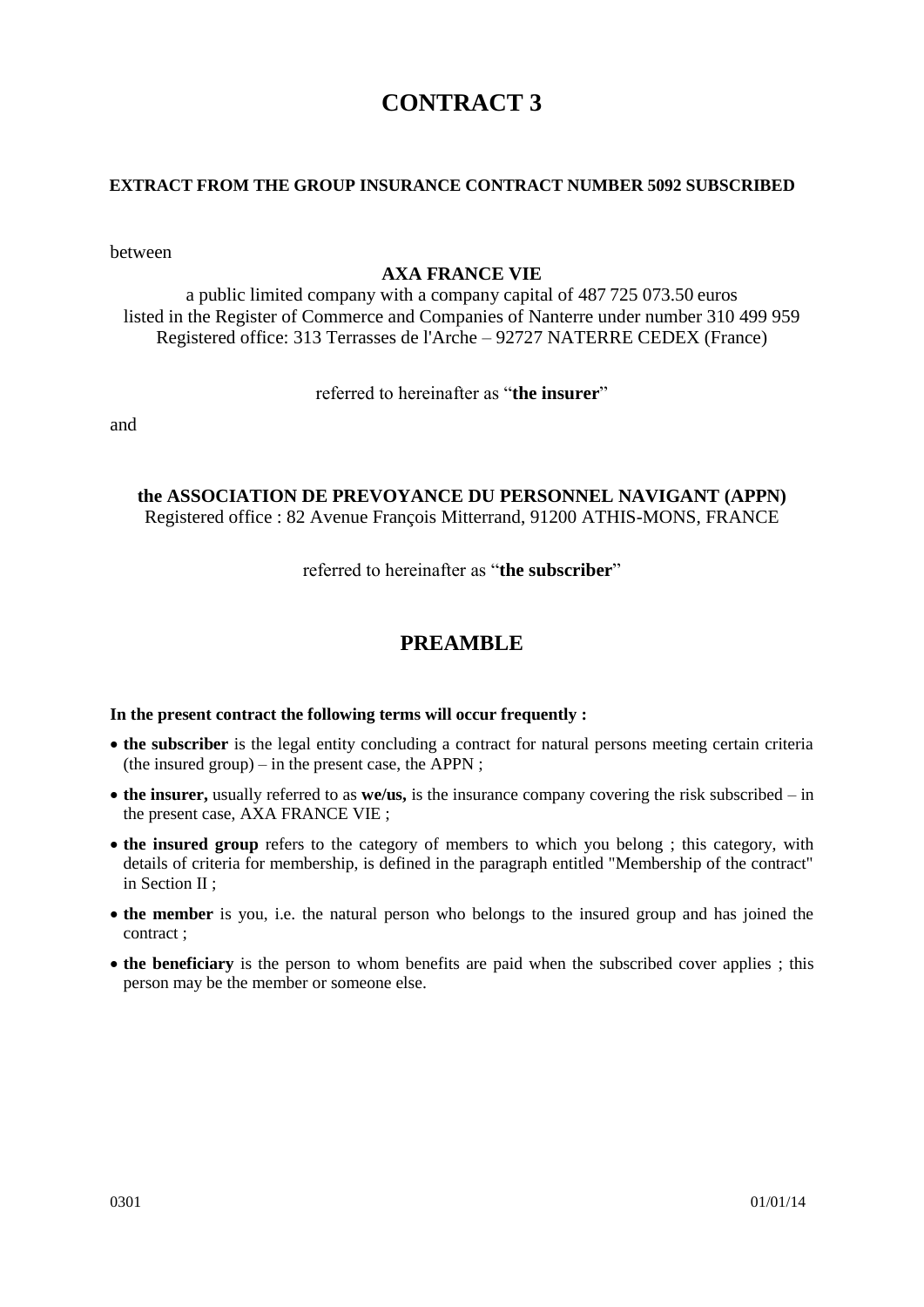# **CONTRACT 3**

### **EXTRACT FROM THE GROUP INSURANCE CONTRACT NUMBER 5092 SUBSCRIBED**

between

### **AXA FRANCE VIE**

a public limited company with a company capital of 487 725 073.50 euros listed in the Register of Commerce and Companies of Nanterre under number 310 499 959 Registered office: 313 Terrasses de l'Arche – 92727 NATERRE CEDEX (France)

### referred to hereinafter as "**the insurer**"

and

### **the ASSOCIATION DE PREVOYANCE DU PERSONNEL NAVIGANT (APPN)** Registered office : 82 Avenue François Mitterrand, 91200 ATHIS-MONS, FRANCE

referred to hereinafter as "**the subscriber**"

# **PREAMBLE**

### **In the present contract the following terms will occur frequently :**

- **the subscriber** is the legal entity concluding a contract for natural persons meeting certain criteria (the insured group) – in the present case, the APPN ;
- **the insurer,** usually referred to as **we/us,** is the insurance company covering the risk subscribed in the present case, AXA FRANCE VIE ;
- **the insured group** refers to the category of members to which you belong ; this category, with details of criteria for membership, is defined in the paragraph entitled "Membership of the contract" in Section II ;
- **the member** is you, i.e. the natural person who belongs to the insured group and has joined the contract ;
- **the beneficiary** is the person to whom benefits are paid when the subscribed cover applies ; this person may be the member or someone else.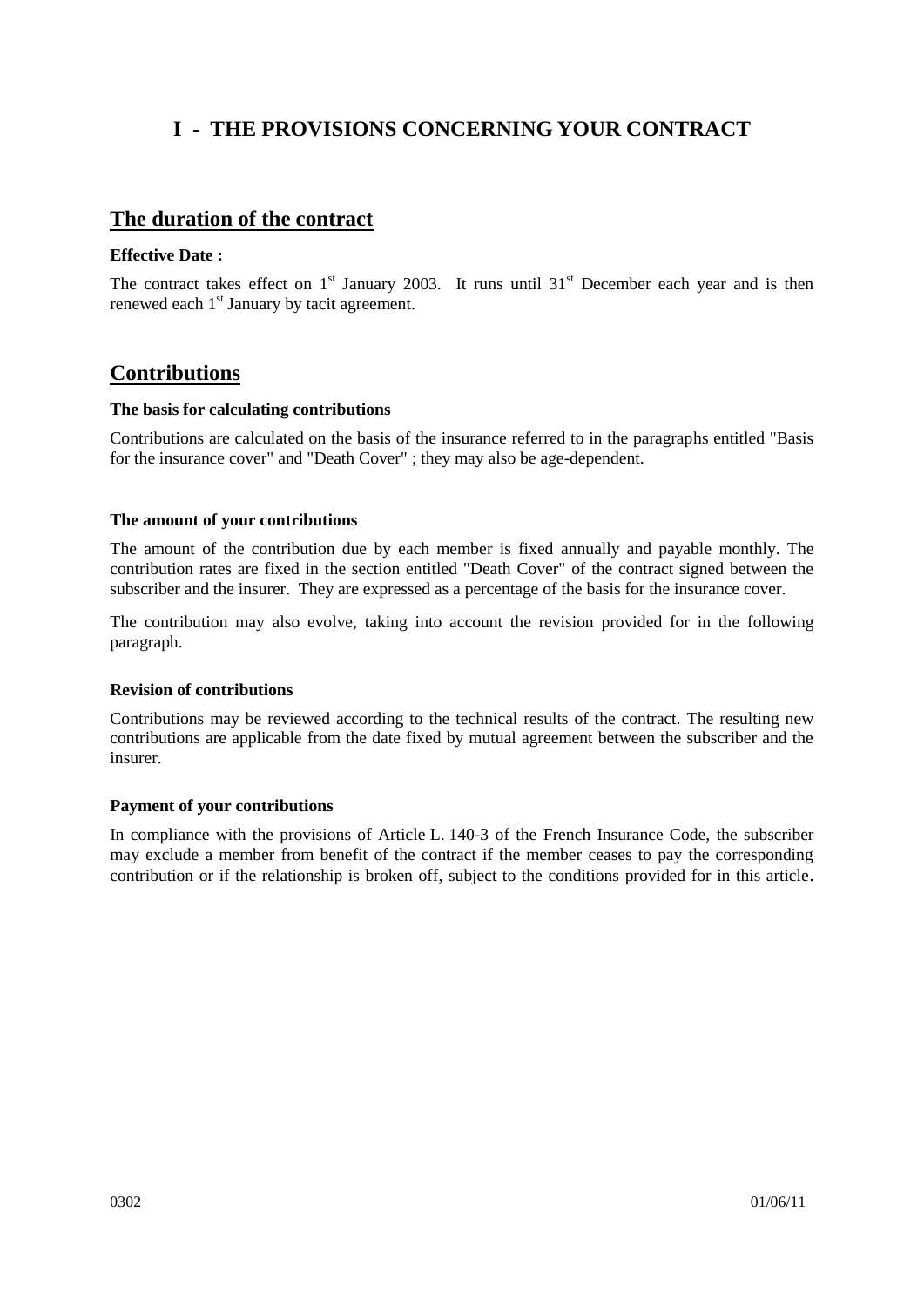# **I - THE PROVISIONS CONCERNING YOUR CONTRACT**

## **The duration of the contract**

#### **Effective Date :**

The contract takes effect on  $1<sup>st</sup>$  January 2003. It runs until 31 $<sup>st</sup>$  December each year and is then</sup> renewed each 1<sup>st</sup> January by tacit agreement.

# **Contributions**

#### **The basis for calculating contributions**

Contributions are calculated on the basis of the insurance referred to in the paragraphs entitled "Basis for the insurance cover" and "Death Cover" ; they may also be age-dependent.

#### **The amount of your contributions**

The amount of the contribution due by each member is fixed annually and payable monthly. The contribution rates are fixed in the section entitled "Death Cover" of the contract signed between the subscriber and the insurer. They are expressed as a percentage of the basis for the insurance cover.

The contribution may also evolve, taking into account the revision provided for in the following paragraph.

### **Revision of contributions**

Contributions may be reviewed according to the technical results of the contract. The resulting new contributions are applicable from the date fixed by mutual agreement between the subscriber and the insurer.

### **Payment of your contributions**

In compliance with the provisions of Article L. 140-3 of the French Insurance Code, the subscriber may exclude a member from benefit of the contract if the member ceases to pay the corresponding contribution or if the relationship is broken off, subject to the conditions provided for in this article.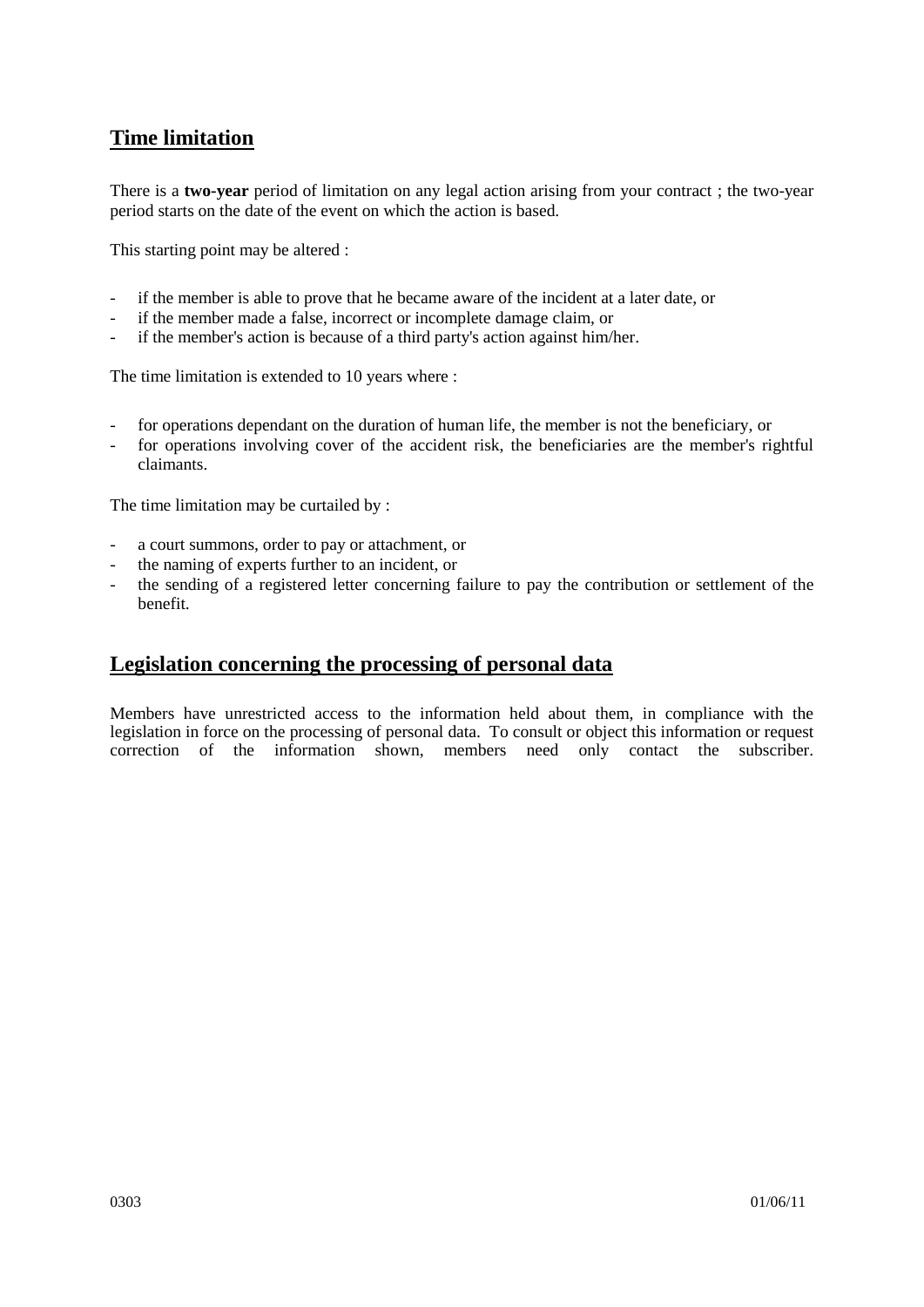# **Time limitation**

There is a **two-year** period of limitation on any legal action arising from your contract ; the two-year period starts on the date of the event on which the action is based.

This starting point may be altered :

- if the member is able to prove that he became aware of the incident at a later date, or
- if the member made a false, incorrect or incomplete damage claim, or
- if the member's action is because of a third party's action against him/her.

The time limitation is extended to 10 years where :

- for operations dependant on the duration of human life, the member is not the beneficiary, or
- for operations involving cover of the accident risk, the beneficiaries are the member's rightful claimants.

The time limitation may be curtailed by :

- a court summons, order to pay or attachment, or
- the naming of experts further to an incident, or
- the sending of a registered letter concerning failure to pay the contribution or settlement of the benefit.

# **Legislation concerning the processing of personal data**

Members have unrestricted access to the information held about them, in compliance with the legislation in force on the processing of personal data. To consult or object this information or request correction of the information shown, members need only contact the subscriber.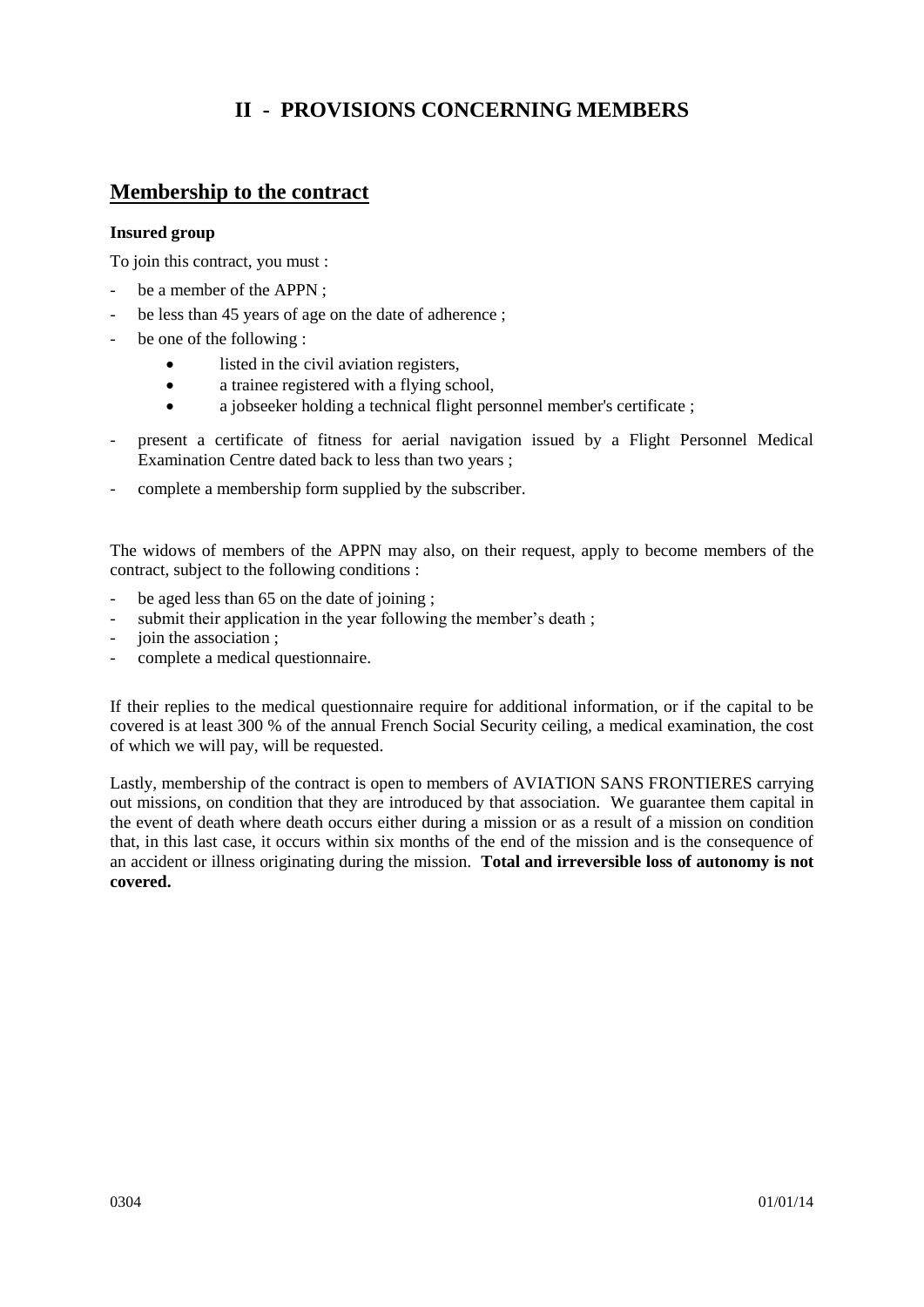# **II - PROVISIONS CONCERNING MEMBERS**

# **Membership to the contract**

### **Insured group**

To join this contract, you must :

- be a member of the APPN ;
- be less than 45 years of age on the date of adherence;
- be one of the following :
	- listed in the civil aviation registers,
	- a trainee registered with a flying school,
	- a jobseeker holding a technical flight personnel member's certificate ;
- present a certificate of fitness for aerial navigation issued by a Flight Personnel Medical Examination Centre dated back to less than two years ;
- complete a membership form supplied by the subscriber.

The widows of members of the APPN may also, on their request, apply to become members of the contract, subject to the following conditions :

- be aged less than 65 on the date of joining;
- submit their application in the year following the member's death;
- join the association ;
- complete a medical questionnaire.

If their replies to the medical questionnaire require for additional information, or if the capital to be covered is at least 300 % of the annual French Social Security ceiling, a medical examination, the cost of which we will pay, will be requested.

Lastly, membership of the contract is open to members of AVIATION SANS FRONTIERES carrying out missions, on condition that they are introduced by that association. We guarantee them capital in the event of death where death occurs either during a mission or as a result of a mission on condition that, in this last case, it occurs within six months of the end of the mission and is the consequence of an accident or illness originating during the mission. **Total and irreversible loss of autonomy is not covered.**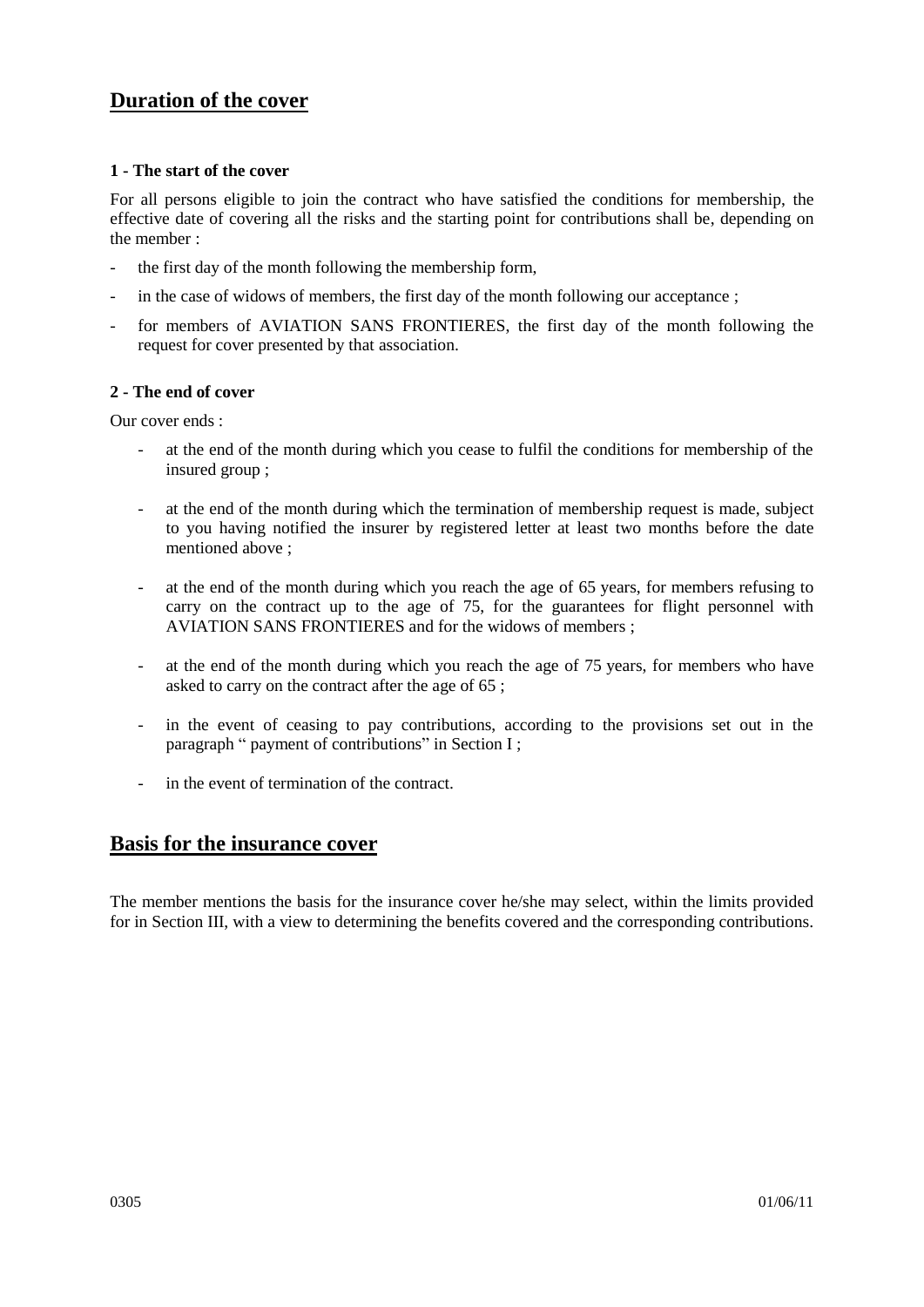# **Duration of the cover**

### **1 - The start of the cover**

For all persons eligible to join the contract who have satisfied the conditions for membership, the effective date of covering all the risks and the starting point for contributions shall be, depending on the member :

- the first day of the month following the membership form,
- in the case of widows of members, the first day of the month following our acceptance ;
- for members of AVIATION SANS FRONTIERES, the first day of the month following the request for cover presented by that association.

### **2 - The end of cover**

Our cover ends :

- at the end of the month during which you cease to fulfil the conditions for membership of the insured group ;
- at the end of the month during which the termination of membership request is made, subject to you having notified the insurer by registered letter at least two months before the date mentioned above ;
- at the end of the month during which you reach the age of 65 years, for members refusing to carry on the contract up to the age of 75, for the guarantees for flight personnel with AVIATION SANS FRONTIERES and for the widows of members ;
- at the end of the month during which you reach the age of 75 years, for members who have asked to carry on the contract after the age of 65 ;
- in the event of ceasing to pay contributions, according to the provisions set out in the paragraph " payment of contributions" in Section I ;
- in the event of termination of the contract.

## **Basis for the insurance cover**

The member mentions the basis for the insurance cover he/she may select, within the limits provided for in Section III, with a view to determining the benefits covered and the corresponding contributions.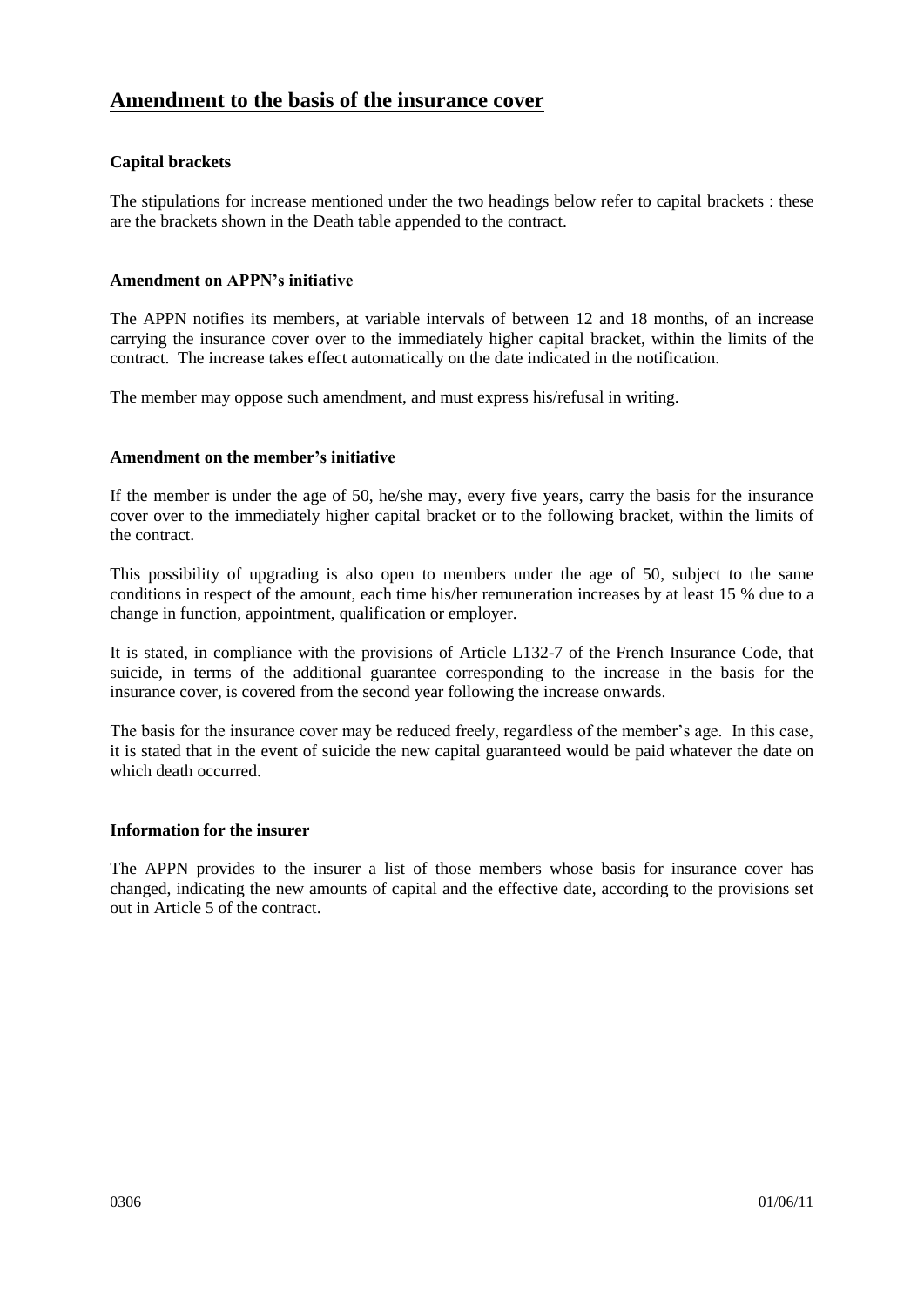# **Amendment to the basis of the insurance cover**

### **Capital brackets**

The stipulations for increase mentioned under the two headings below refer to capital brackets : these are the brackets shown in the Death table appended to the contract.

### **Amendment on APPN's initiative**

The APPN notifies its members, at variable intervals of between 12 and 18 months, of an increase carrying the insurance cover over to the immediately higher capital bracket, within the limits of the contract. The increase takes effect automatically on the date indicated in the notification.

The member may oppose such amendment, and must express his/refusal in writing.

### **Amendment on the member's initiative**

If the member is under the age of 50, he/she may, every five years, carry the basis for the insurance cover over to the immediately higher capital bracket or to the following bracket, within the limits of the contract.

This possibility of upgrading is also open to members under the age of 50, subject to the same conditions in respect of the amount, each time his/her remuneration increases by at least 15 % due to a change in function, appointment, qualification or employer.

It is stated, in compliance with the provisions of Article L132-7 of the French Insurance Code, that suicide, in terms of the additional guarantee corresponding to the increase in the basis for the insurance cover, is covered from the second year following the increase onwards.

The basis for the insurance cover may be reduced freely, regardless of the member's age. In this case, it is stated that in the event of suicide the new capital guaranteed would be paid whatever the date on which death occurred.

### **Information for the insurer**

The APPN provides to the insurer a list of those members whose basis for insurance cover has changed, indicating the new amounts of capital and the effective date, according to the provisions set out in Article 5 of the contract.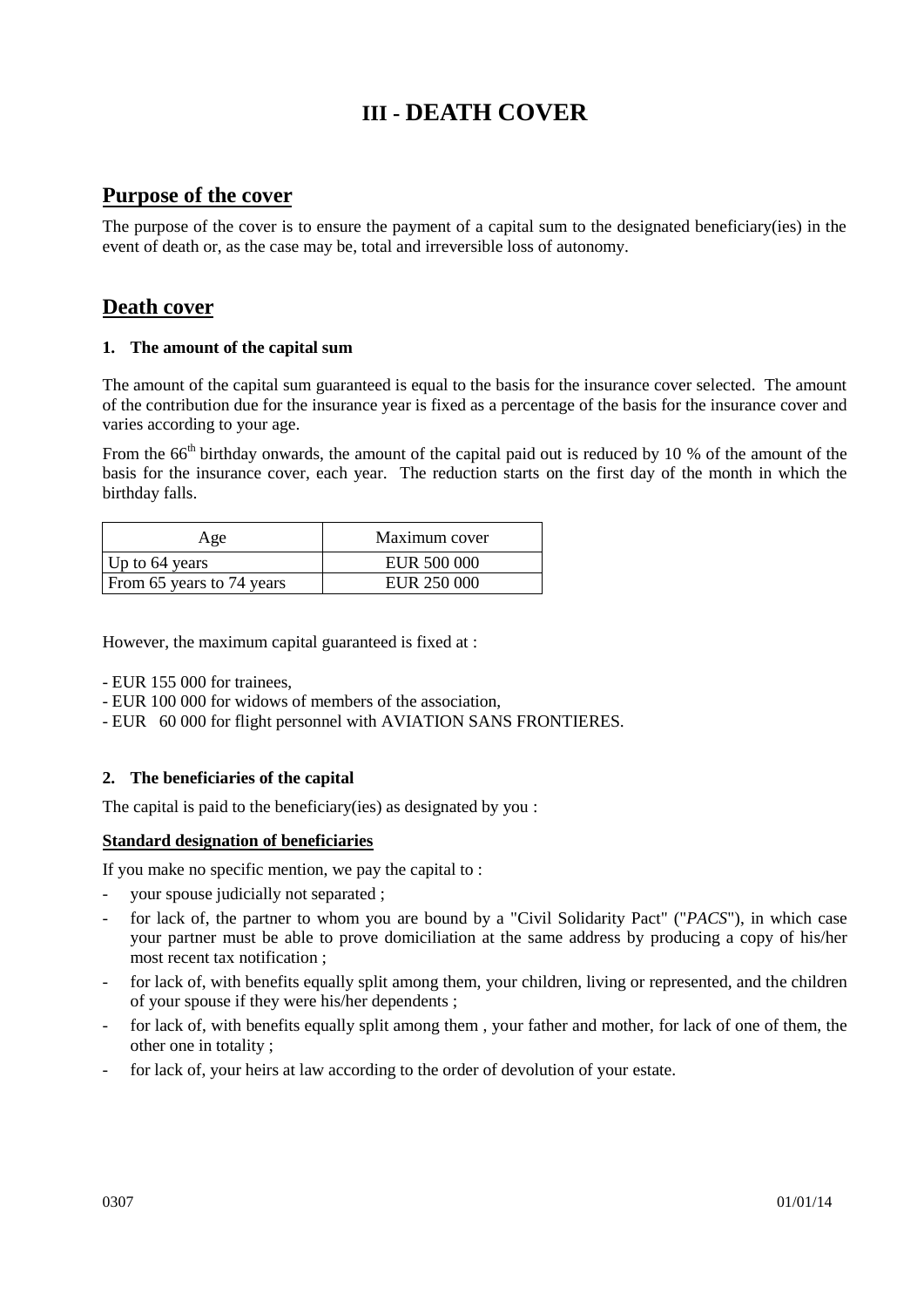# **III - DEATH COVER**

## **Purpose of the cover**

The purpose of the cover is to ensure the payment of a capital sum to the designated beneficiary(ies) in the event of death or, as the case may be, total and irreversible loss of autonomy.

# **Death cover**

### **1. The amount of the capital sum**

The amount of the capital sum guaranteed is equal to the basis for the insurance cover selected. The amount of the contribution due for the insurance year is fixed as a percentage of the basis for the insurance cover and varies according to your age.

From the 66<sup>th</sup> birthday onwards, the amount of the capital paid out is reduced by 10 % of the amount of the basis for the insurance cover, each year. The reduction starts on the first day of the month in which the birthday falls.

| Age                       | Maximum cover |  |
|---------------------------|---------------|--|
| Up to 64 years            | EUR 500 000   |  |
| From 65 years to 74 years | EUR 250 000   |  |

However, the maximum capital guaranteed is fixed at :

- EUR 155 000 for trainees,
- EUR 100 000 for widows of members of the association,
- EUR 60 000 for flight personnel with AVIATION SANS FRONTIERES.

### **2. The beneficiaries of the capital**

The capital is paid to the beneficiary(ies) as designated by you :

### **Standard designation of beneficiaries**

If you make no specific mention, we pay the capital to :

- your spouse judicially not separated ;
- for lack of, the partner to whom you are bound by a "Civil Solidarity Pact" ("*PACS*"), in which case your partner must be able to prove domiciliation at the same address by producing a copy of his/her most recent tax notification ;
- for lack of, with benefits equally split among them, your children, living or represented, and the children of your spouse if they were his/her dependents ;
- for lack of, with benefits equally split among them, your father and mother, for lack of one of them, the other one in totality ;
- for lack of, your heirs at law according to the order of devolution of your estate.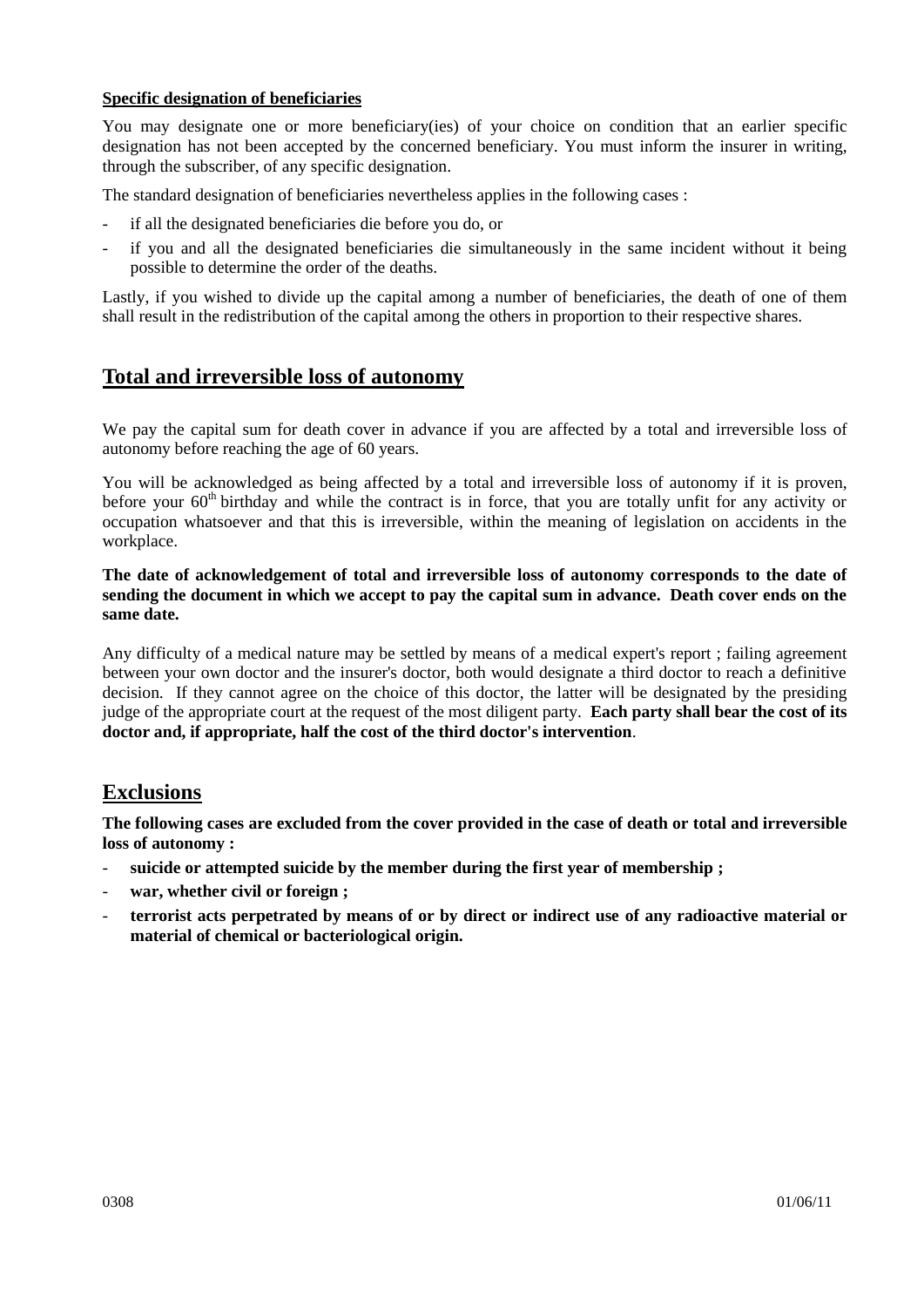### **Specific designation of beneficiaries**

You may designate one or more beneficiary(ies) of your choice on condition that an earlier specific designation has not been accepted by the concerned beneficiary. You must inform the insurer in writing, through the subscriber, of any specific designation.

The standard designation of beneficiaries nevertheless applies in the following cases :

- if all the designated beneficiaries die before you do, or
- if you and all the designated beneficiaries die simultaneously in the same incident without it being possible to determine the order of the deaths.

Lastly, if you wished to divide up the capital among a number of beneficiaries, the death of one of them shall result in the redistribution of the capital among the others in proportion to their respective shares.

# **Total and irreversible loss of autonomy**

We pay the capital sum for death cover in advance if you are affected by a total and irreversible loss of autonomy before reaching the age of 60 years.

You will be acknowledged as being affected by a total and irreversible loss of autonomy if it is proven, before your  $60<sup>th</sup>$  birthday and while the contract is in force, that you are totally unfit for any activity or occupation whatsoever and that this is irreversible, within the meaning of legislation on accidents in the workplace.

**The date of acknowledgement of total and irreversible loss of autonomy corresponds to the date of sending the document in which we accept to pay the capital sum in advance. Death cover ends on the same date.** 

Any difficulty of a medical nature may be settled by means of a medical expert's report ; failing agreement between your own doctor and the insurer's doctor, both would designate a third doctor to reach a definitive decision. If they cannot agree on the choice of this doctor, the latter will be designated by the presiding judge of the appropriate court at the request of the most diligent party. **Each party shall bear the cost of its doctor and, if appropriate, half the cost of the third doctor's intervention**.

# **Exclusions**

**The following cases are excluded from the cover provided in the case of death or total and irreversible loss of autonomy :**

- **suicide or attempted suicide by the member during the first year of membership ;**
- war, whether civil or foreign ;
- **terrorist acts perpetrated by means of or by direct or indirect use of any radioactive material or material of chemical or bacteriological origin.**